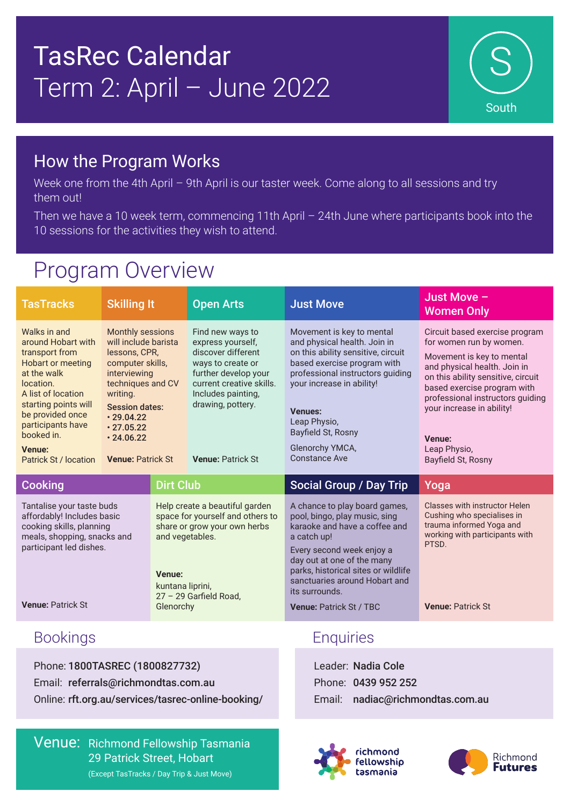## TasRec Calendar Term 2: April – June 2022



#### How the Program Works

Week one from the 4th April - 9th April is our taster week. Come along to all sessions and try them out!

Then we have a 10 week term, commencing 11th April – 24th June where participants book into the 10 sessions for the activities they wish to attend.

### Program Overview

| <b>TasTracks</b>                                                                                                                                                                                                                                            | <b>Skilling It</b>                                                                                                                                                                                                                |                                                            | <b>Open Arts</b>                                                                                                                                                                                            | <b>Just Move</b>                                                                                                                                                                                                                                                                                      | Just Move -<br><b>Women Only</b>                                                                                                                                                                                                                                                                             |
|-------------------------------------------------------------------------------------------------------------------------------------------------------------------------------------------------------------------------------------------------------------|-----------------------------------------------------------------------------------------------------------------------------------------------------------------------------------------------------------------------------------|------------------------------------------------------------|-------------------------------------------------------------------------------------------------------------------------------------------------------------------------------------------------------------|-------------------------------------------------------------------------------------------------------------------------------------------------------------------------------------------------------------------------------------------------------------------------------------------------------|--------------------------------------------------------------------------------------------------------------------------------------------------------------------------------------------------------------------------------------------------------------------------------------------------------------|
| Walks in and<br>around Hobart with<br>transport from<br><b>Hobart or meeting</b><br>at the walk<br>location.<br>A list of location<br>starting points will<br>be provided once<br>participants have<br>booked in.<br><b>Venue:</b><br>Patrick St / location | Monthly sessions<br>will include barista<br>lessons, CPR,<br>computer skills,<br>interviewing<br>techniques and CV<br>writing.<br><b>Session dates:</b><br>.29.04.22<br>$\cdot$ 27.05.22<br>.24.06.22<br><b>Venue: Patrick St</b> |                                                            | Find new ways to<br>express yourself,<br>discover different<br>ways to create or<br>further develop your<br>current creative skills.<br>Includes painting,<br>drawing, pottery.<br><b>Venue: Patrick St</b> | Movement is key to mental<br>and physical health. Join in<br>on this ability sensitive, circuit<br>based exercise program with<br>professional instructors guiding<br>your increase in ability!<br><b>Venues:</b><br>Leap Physio,<br>Bayfield St, Rosny<br>Glenorchy YMCA,<br><b>Constance Ave</b>    | Circuit based exercise program<br>for women run by women.<br>Movement is key to mental<br>and physical health. Join in<br>on this ability sensitive, circuit<br>based exercise program with<br>professional instructors guiding<br>your increase in ability!<br>Venue:<br>Leap Physio,<br>Bayfield St, Rosny |
|                                                                                                                                                                                                                                                             |                                                                                                                                                                                                                                   |                                                            |                                                                                                                                                                                                             |                                                                                                                                                                                                                                                                                                       |                                                                                                                                                                                                                                                                                                              |
| <b>Cooking</b>                                                                                                                                                                                                                                              |                                                                                                                                                                                                                                   | <b>Dirt Club</b>                                           |                                                                                                                                                                                                             | <b>Social Group / Day Trip</b>                                                                                                                                                                                                                                                                        | Yoga                                                                                                                                                                                                                                                                                                         |
| Tantalise your taste buds<br>affordably! Includes basic<br>cooking skills, planning<br>meals, shopping, snacks and<br>participant led dishes.<br><b>Venue: Patrick St</b>                                                                                   |                                                                                                                                                                                                                                   | and vegetables.<br>Venue:<br>kuntana liprini,<br>Glenorchy | Help create a beautiful garden<br>space for yourself and others to<br>share or grow your own herbs<br>27 - 29 Garfield Road,                                                                                | A chance to play board games,<br>pool, bingo, play music, sing<br>karaoke and have a coffee and<br>a catch up!<br>Every second week enjoy a<br>day out at one of the many<br>parks, historical sites or wildlife<br>sanctuaries around Hobart and<br>its surrounds.<br><b>Venue: Patrick St / TBC</b> | Classes with instructor Helen<br>Cushing who specialises in<br>trauma informed Yoga and<br>working with participants with<br>PTSD.<br><b>Venue: Patrick St</b>                                                                                                                                               |
| <b>Bookings</b>                                                                                                                                                                                                                                             |                                                                                                                                                                                                                                   |                                                            |                                                                                                                                                                                                             | <b>Enquiries</b>                                                                                                                                                                                                                                                                                      |                                                                                                                                                                                                                                                                                                              |

Phone: 1800TASREC (1800827732) Email: referrals@richmondtas.com.au Online: rft.org.au/services/tasrec-online-booking/

Venue: Richmond Fellowship Tasmania 29 Patrick Street, Hobart (Except TasTracks / Day Trip & Just Move)

Leader: Nadia Cole Phone: 0439 952 252 Email: nadiac@richmondtas.com.au